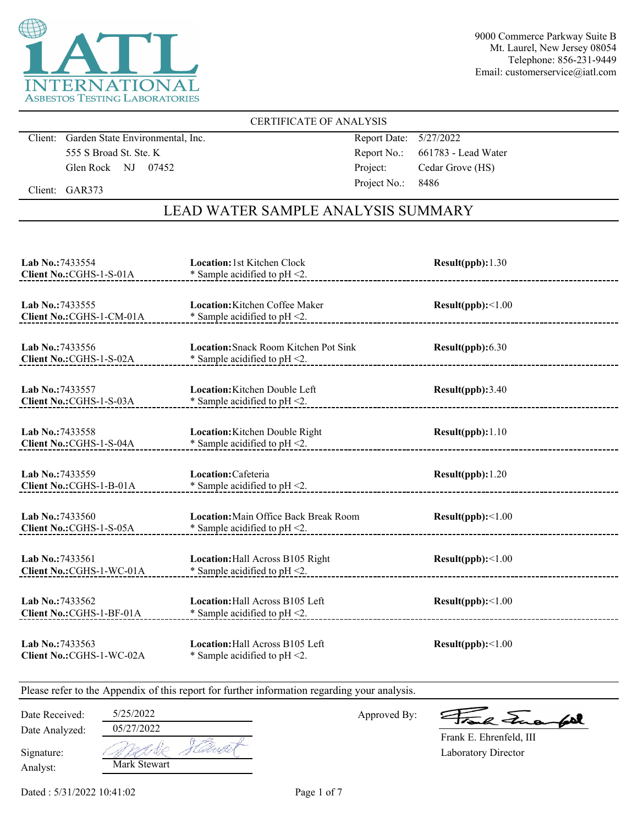

### CERTIFICATE OF ANALYSIS

Client: Garden State Environmental, Inc. 555 S Broad St. Ste. K Glen Rock NJ 07452

Report Date: 5/27/2022 Report No.: 661783 - Lead Water Project: Cedar Grove (HS) Project No.: 8486

Client: GAR373

# LEAD WATER SAMPLE ANALYSIS SUMMARY

| Lab No.: 7433554                              | <b>Location:</b> 1st Kitchen Clock                                         | Result(ppb): 1.30 |
|-----------------------------------------------|----------------------------------------------------------------------------|-------------------|
| Client No.: CGHS-1-S-01A                      | * Sample acidified to pH <2.                                               |                   |
| Lab No.: 7433555                              | Location: Kitchen Coffee Maker                                             | Result(ppb):<1.00 |
| Client No.: CGHS-1-CM-01A                     | $*$ Sample acidified to pH <2.                                             |                   |
| Lab No.: 7433556                              | <b>Location:</b> Snack Room Kitchen Pot Sink                               | Result(ppb): 6.30 |
| Client No.: CGHS-1-S-02A                      | * Sample acidified to pH <2.                                               |                   |
| Lab No.: 7433557                              | <b>Location:</b> Kitchen Double Left                                       | Result(ppb):3.40  |
| Client No.: CGHS-1-S-03A                      | * Sample acidified to $pH < 2$ .                                           |                   |
| Lab No.: 7433558                              | Location: Kitchen Double Right                                             | Result(ppb): 1.10 |
| Client No.: CGHS-1-S-04A                      | * Sample acidified to $pH < 2$ .                                           |                   |
| Lab No.: 7433559                              | Location: Cafeteria                                                        | Result(ppb): 1.20 |
| Client No.: CGHS-1-B-01A                      | * Sample acidified to $pH < 2$ .                                           |                   |
| Lab No.: 7433560                              | Location: Main Office Back Break Room                                      | Result(ppb):<1.00 |
| Client No.: CGHS-1-S-05A                      | * Sample acidified to $pH < 2$ .                                           |                   |
| Lab No.: 7433561<br>Client No.: CGHS-1-WC-01A | Location: Hall Across B105 Right<br>* Sample acidified to $pH < 2$ .       | Result(ppb):<1.00 |
| Lab No.: 7433562<br>Client No.: CGHS-1-BF-01A | <b>Location:</b> Hall Across B105 Left<br>* Sample acidified to $pH < 2$ . | Result(ppb):<1.00 |
| Lab No.: 7433563<br>Client No.: CGHS-1-WC-02A | Location: Hall Across B105 Left<br>* Sample acidified to $pH < 2$ .        | Result(ppb):<1.00 |

Please refer to the Appendix of this report for further information regarding your analysis.

Date Analyzed: Date Received: 5/25/2022

Approved By:

a Jua fol

Laboratory Director Frank E. Ehrenfeld, III

Analyst: Signature: 05/27/2022 1.Se Mark Stewart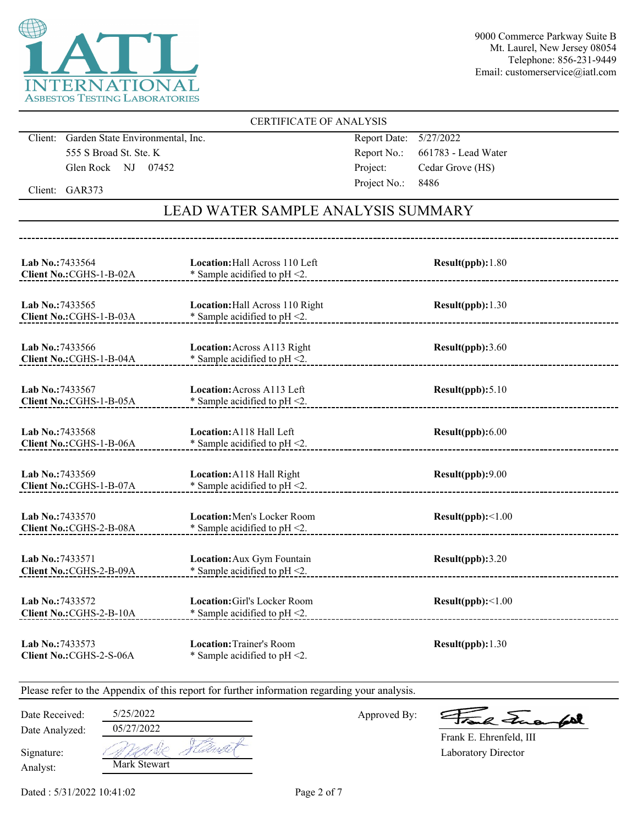

### CERTIFICATE OF ANALYSIS

Client: Garden State Environmental, Inc. 555 S Broad St. Ste. K Glen Rock NJ 07452

Report Date: 5/27/2022 Report No.: 661783 - Lead Water Project: Cedar Grove (HS) Project No.: 8486

Client: GAR373

# LEAD WATER SAMPLE ANALYSIS SUMMARY

| Lab No.: 7433564<br>Client No.: CGHS-1-B-02A | Location: Hall Across 110 Left<br>* Sample acidified to $pH < 2$ .    | Result(ppb): 1.80 |
|----------------------------------------------|-----------------------------------------------------------------------|-------------------|
| Lab No.: 7433565<br>Client No.: CGHS-1-B-03A | Location: Hall Across 110 Right<br>* Sample acidified to $pH < 2$ .   | Result(ppb): 1.30 |
| Lab No.: 7433566<br>Client No.: CGHS-1-B-04A | Location: Across A113 Right<br>* Sample acidified to $pH < 2$ .       | Result(ppb):3.60  |
| Lab No.: 7433567<br>Client No.: CGHS-1-B-05A | <b>Location:</b> Across A113 Left<br>* Sample acidified to $pH < 2$ . | Result(ppb): 5.10 |
| Lab No.: 7433568<br>Client No.: CGHS-1-B-06A | Location: A118 Hall Left<br>* Sample acidified to $pH < 2$ .          | Result(ppb): 6.00 |
| Lab No.: 7433569<br>Client No.: CGHS-1-B-07A | Location: A118 Hall Right<br>* Sample acidified to $pH < 2$ .         | Result(ppb):9.00  |
| Lab No.: 7433570<br>Client No.: CGHS-2-B-08A | Location: Men's Locker Room<br>* Sample acidified to $pH < 2$ .       | Result(ppb):<1.00 |
| Lab No.: 7433571<br>Client No.: CGHS-2-B-09A | Location: Aux Gym Fountain<br>* Sample acidified to $pH < 2$ .        | Result(ppb):3.20  |
| Lab No.: 7433572<br>Client No.: CGHS-2-B-10A | Location: Girl's Locker Room<br>* Sample acidified to pH <2.          | Result(ppb):<1.00 |
| Lab No.: 7433573<br>Client No.: CGHS-2-S-06A | <b>Location: Trainer's Room</b><br>* Sample acidified to $pH < 2$ .   | Result(ppb): 1.30 |

Please refer to the Appendix of this report for further information regarding your analysis.

Date Analyzed: Date Received: 5/25/2022

Approved By:

a Jua for

Laboratory Director Frank E. Ehrenfeld, III

Analyst: Signature: 05/27/2022 AN S Mark Stewart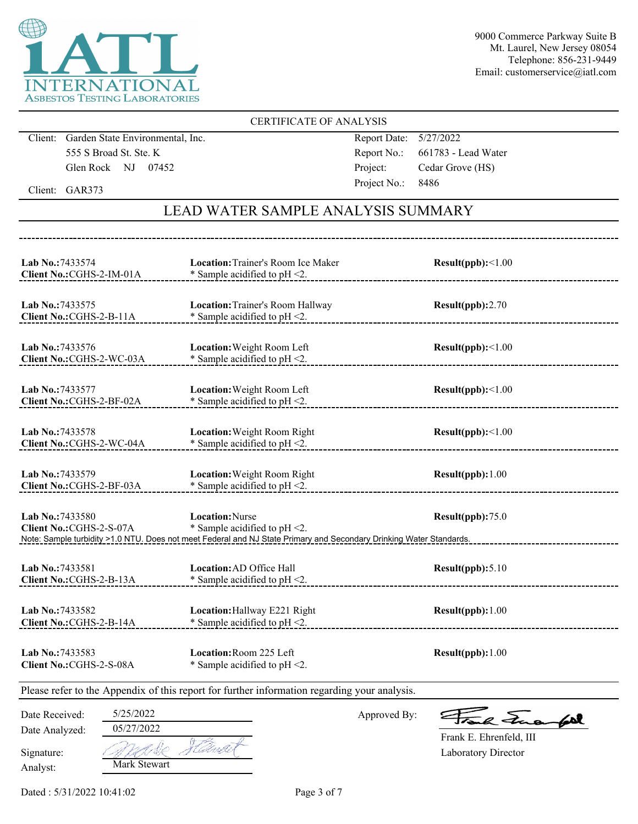

### CERTIFICATE OF ANALYSIS

Client: Garden State Environmental, Inc. 555 S Broad St. Ste. K Glen Rock NJ 07452

Report Date: 5/27/2022 Report No.: 661783 - Lead Water Project: Cedar Grove (HS) Project No.: 8486

Client: GAR373

# LEAD WATER SAMPLE ANALYSIS SUMMARY

| Lab No.: 7433574<br>Client No.: CGHS-2-IM-01A                                      | Location: Trainer's Room Ice Maker<br>$*$ Sample acidified to pH <2.                                                                                                       | Result(ppb):<1.00                                                                  |
|------------------------------------------------------------------------------------|----------------------------------------------------------------------------------------------------------------------------------------------------------------------------|------------------------------------------------------------------------------------|
| Lab No.: 7433575<br>Client No.: CGHS-2-B-11A                                       | Location: Trainer's Room Hallway<br>$*$ Sample acidified to pH <2.                                                                                                         | Result(ppb):2.70                                                                   |
| Lab No.: 7433576<br>Client No.: CGHS-2-WC-03A                                      | Location: Weight Room Left<br>$*$ Sample acidified to pH <2.                                                                                                               | Result(ppb):<1.00                                                                  |
| Lab No.: 7433577<br>Client No.: CGHS-2-BF-02A                                      | Location: Weight Room Left<br>$*$ Sample acidified to pH <2.                                                                                                               | Result(ppb):<1.00                                                                  |
| Lab No.: 7433578<br>Client No.: CGHS-2-WC-04A                                      | Location: Weight Room Right<br>* Sample acidified to pH <2.                                                                                                                | Result(ppb):<1.00                                                                  |
| Lab No.: 7433579<br>Client No.: CGHS-2-BF-03A                                      | Location: Weight Room Right<br>* Sample acidified to pH <2.                                                                                                                | Result(ppb): 1.00                                                                  |
| Lab No.: 7433580<br>Client No.: CGHS-2-S-07A                                       | Location: Nurse<br>* Sample acidified to $pH < 2$ .<br>Note: Sample turbidity >1.0 NTU. Does not meet Federal and NJ State Primary and Secondary Drinking Water Standards. | Result(ppb):75.0                                                                   |
| Lab No.:7433581<br>Client No.: CGHS-2-B-13A                                        | Location: AD Office Hall<br>$*$ Sample acidified to pH <2.                                                                                                                 | Result(ppb): 5.10                                                                  |
| Lab No.:7433582<br>Client No.: CGHS-2-B-14A                                        | Location: Hallway E221 Right<br>* Sample acidified to pH <2.                                                                                                               | Result(ppb): 1.00                                                                  |
| Lab No.: 7433583<br>Client No.: CGHS-2-S-08A                                       | Location: Room 225 Left<br>* Sample acidified to $pH < 2$ .                                                                                                                | Result(ppb): 1.00                                                                  |
|                                                                                    | Please refer to the Appendix of this report for further information regarding your analysis.                                                                               |                                                                                    |
| 5/25/2022<br>Date Received:<br>05/27/2022<br>Date Analyzed:<br>Marke<br>Signature: | Hamp                                                                                                                                                                       | Approved By:<br>Tank Luca<br>652<br>Frank E. Ehrenfeld, III<br>Laboratory Director |

Analyst:

Mark Stewart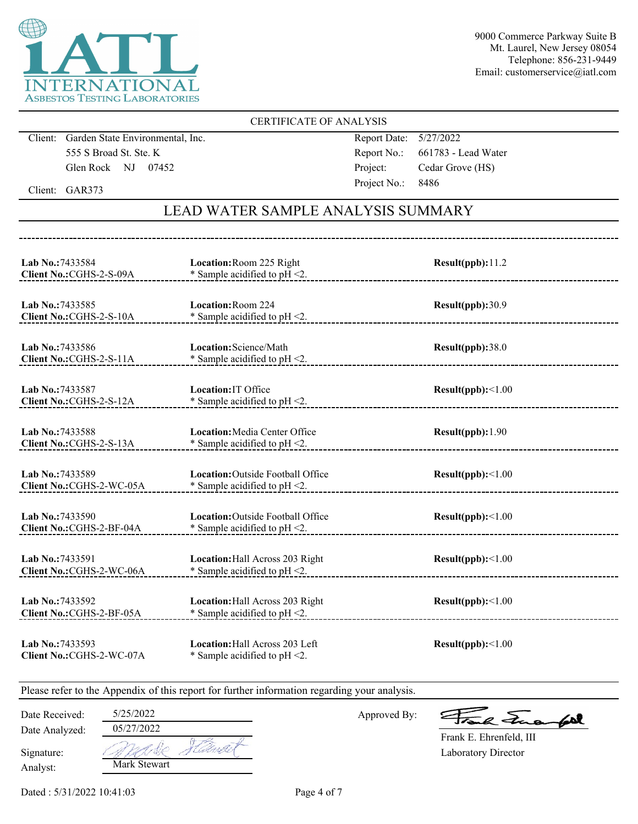

### CERTIFICATE OF ANALYSIS

Client: Garden State Environmental, Inc. 555 S Broad St. Ste. K Glen Rock NJ 07452

Report Date: 5/27/2022 Report No.: 661783 - Lead Water Project: Cedar Grove (HS) Project No.: 8486

Client: GAR373

# LEAD WATER SAMPLE ANALYSIS SUMMARY

| Lab No.: 7433584<br>Client No.: CGHS-2-S-09A  | Location: Room 225 Right<br>* Sample acidified to $pH < 2$ .          | Result(ppb):11.2         |
|-----------------------------------------------|-----------------------------------------------------------------------|--------------------------|
| Lab No.: 7433585<br>Client No.: CGHS-2-S-10A  | Location: Room 224<br>* Sample acidified to $pH < 2$ .                | Result(ppb):30.9         |
| Lab No.: 7433586<br>Client No.: CGHS-2-S-11A  | Location: Science/Math<br>* Sample acidified to $pH < 2$ .            | Result(ppb):38.0         |
| Lab No.: 7433587<br>Client No.: CGHS-2-S-12A  | <b>Location: IT Office</b><br>* Sample acidified to $pH < 2$ .        | Result(ppb):<1.00        |
| Lab No.: 7433588<br>Client No.: CGHS-2-S-13A  | Location: Media Center Office<br>* Sample acidified to $pH < 2$ .     | Result(ppb):1.90         |
| Lab No.: 7433589<br>Client No.: CGHS-2-WC-05A | Location: Outside Football Office<br>* Sample acidified to $pH < 2$ . | Result(ppb):<1.00        |
| Lab No.:7433590<br>Client No.: CGHS-2-BF-04A  | Location: Outside Football Office<br>* Sample acidified to $pH < 2$ . | Result(ppb):<1.00        |
| Lab No.: 7433591<br>Client No.: CGHS-2-WC-06A | Location: Hall Across 203 Right<br>* Sample acidified to $pH < 2$ .   | $Result(ppb): \leq 1.00$ |
| Lab No.: 7433592<br>Client No.: CGHS-2-BF-05A | Location: Hall Across 203 Right<br>* Sample acidified to $pH < 2$ .   | Result(ppb):<1.00        |
| Lab No.: 7433593<br>Client No.: CGHS-2-WC-07A | Location: Hall Across 203 Left<br>* Sample acidified to $pH < 2$ .    | Result(ppb):<1.00        |

Please refer to the Appendix of this report for further information regarding your analysis.

Date Analyzed: Date Received: 5/25/2022

Approved By:

a Frank

Laboratory Director Frank E. Ehrenfeld, III

Analyst: Signature: 05/27/2022 1.SE Mark Stewart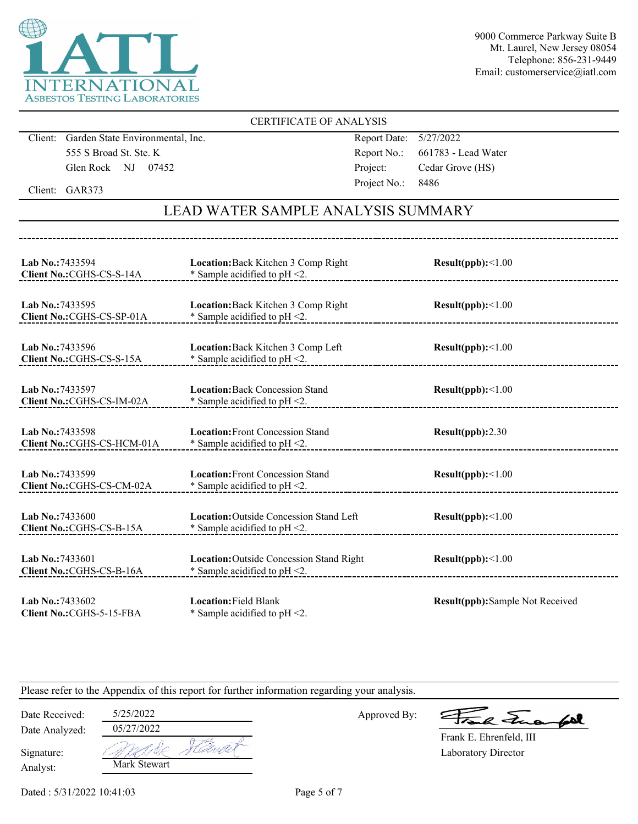

### CERTIFICATE OF ANALYSIS

Client: Garden State Environmental, Inc. 555 S Broad St. Ste. K Glen Rock NJ 07452

Report Date: 5/27/2022 Report No.: 661783 - Lead Water Project: Cedar Grove (HS) Project No.: 8486

Client: GAR373

## LEAD WATER SAMPLE ANALYSIS SUMMARY

| Lab No.: 7433594                              | <b>Location:</b> Back Kitchen 3 Comp Right                   | Result(ppb):<1.00                       |
|-----------------------------------------------|--------------------------------------------------------------|-----------------------------------------|
| Client No.: CGHS-CS-S-14A                     | $*$ Sample acidified to pH $\leq$ .                          |                                         |
| Lab No.: 7433595                              | Location: Back Kitchen 3 Comp Right                          | Result(ppb):<1.00                       |
| Client No.: CGHS-CS-SP-01A                    | * Sample acidified to $pH < 2$ .                             |                                         |
| Lab No.: 7433596                              | Location: Back Kitchen 3 Comp Left                           | Result(ppb):<1.00                       |
| Client No.: CGHS-CS-S-15A                     | * Sample acidified to $pH < 2$ .                             |                                         |
| Lab No.: 7433597                              | <b>Location:</b> Back Concession Stand                       | Result(ppb):<1.00                       |
| Client No.: CGHS-CS-IM-02A                    | * Sample acidified to $pH < 2$ .                             |                                         |
| Lab No.: 7433598                              | <b>Location:</b> Front Concession Stand                      | Result(ppb):2.30                        |
| Client No.: CGHS-CS-HCM-01A                   | * Sample acidified to pH <2.                                 |                                         |
| Lab No.: 7433599                              | <b>Location:</b> Front Concession Stand                      | Result(ppb):<1.00                       |
| Client No.: CGHS-CS-CM-02A                    | * Sample acidified to $pH < 2$ .                             |                                         |
| Lab No.: 7433600                              | Location: Outside Concession Stand Left                      | Result(ppb):<1.00                       |
| Client No.: CGHS-CS-B-15A                     | * Sample acidified to $pH < 2$ .                             |                                         |
| Lab No.:7433601                               | Location: Outside Concession Stand Right                     | $Result(ppb): \leq 1.00$                |
| Client No.: CGHS-CS-B-16A                     | * Sample acidified to $pH < 2$ .                             |                                         |
| Lab No.: 7433602<br>Client No.: CGHS-5-15-FBA | <b>Location: Field Blank</b><br>* Sample acidified to pH <2. | <b>Result(ppb):</b> Sample Not Received |

Please refer to the Appendix of this report for further information regarding your analysis.

Date Analyzed Date Received: 5/25/2022

Analyst:

Signature:

| ---------    |  |
|--------------|--|
| 05/27/2022   |  |
|              |  |
| Mark Stewart |  |

Approved By:

Lana for

Laboratory Director Frank E. Ehrenfeld, III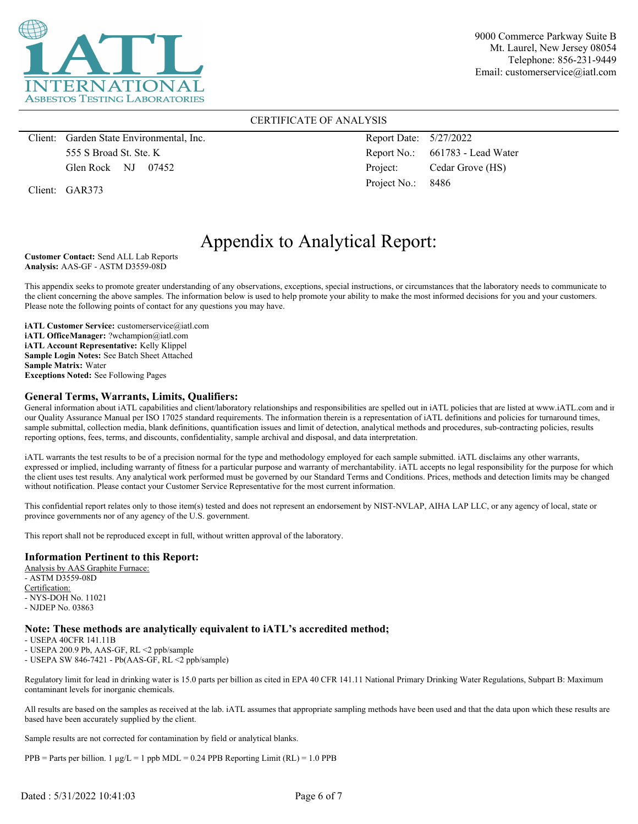

### CERTIFICATE OF ANALYSIS

Client: Garden State Environmental, Inc. 555 S Broad St. Ste. K Glen Rock NJ 07452

Client: GAR373

Report Date: 5/27/2022 Report No.: 661783 - Lead Water Project: Cedar Grove (HS) Project No.: 8486

# Appendix to Analytical Report:

**Customer Contact:** Send ALL Lab Reports **Analysis:** AAS-GF - ASTM D3559-08D

This appendix seeks to promote greater understanding of any observations, exceptions, special instructions, or circumstances that the laboratory needs to communicate to the client concerning the above samples. The information below is used to help promote your ability to make the most informed decisions for you and your customers. Please note the following points of contact for any questions you may have.

**iATL Customer Service:** customerservice@iatl.com **iATL OfficeManager:** ?wchampion@iatl.com **iATL Account Representative:** Kelly Klippel **Sample Login Notes:** See Batch Sheet Attached **Sample Matrix:** Water **Exceptions Noted:** See Following Pages

#### **General Terms, Warrants, Limits, Qualifiers:**

General information about iATL capabilities and client/laboratory relationships and responsibilities are spelled out in iATL policies that are listed at www.iATL.com and in our Quality Assurance Manual per ISO 17025 standard requirements. The information therein is a representation of iATL definitions and policies for turnaround times, sample submittal, collection media, blank definitions, quantification issues and limit of detection, analytical methods and procedures, sub-contracting policies, results reporting options, fees, terms, and discounts, confidentiality, sample archival and disposal, and data interpretation.

iATL warrants the test results to be of a precision normal for the type and methodology employed for each sample submitted. iATL disclaims any other warrants, expressed or implied, including warranty of fitness for a particular purpose and warranty of merchantability. iATL accepts no legal responsibility for the purpose for which the client uses test results. Any analytical work performed must be governed by our Standard Terms and Conditions. Prices, methods and detection limits may be changed without notification. Please contact your Customer Service Representative for the most current information.

This confidential report relates only to those item(s) tested and does not represent an endorsement by NIST-NVLAP, AIHA LAP LLC, or any agency of local, state or province governments nor of any agency of the U.S. government.

This report shall not be reproduced except in full, without written approval of the laboratory.

#### **Information Pertinent to this Report:**

Analysis by AAS Graphite Furnace: - ASTM D3559-08D Certification: - NYS-DOH No. 11021 - NJDEP No. 03863

#### **Note: These methods are analytically equivalent to iATL's accredited method;**

- USEPA 40CFR 141.11B

- USEPA 200.9 Pb, AAS-GF, RL <2 ppb/sample

- USEPA SW 846-7421 - Pb(AAS-GF, RL <2 ppb/sample)

Regulatory limit for lead in drinking water is 15.0 parts per billion as cited in EPA 40 CFR 141.11 National Primary Drinking Water Regulations, Subpart B: Maximum contaminant levels for inorganic chemicals.

All results are based on the samples as received at the lab. iATL assumes that appropriate sampling methods have been used and that the data upon which these results are based have been accurately supplied by the client.

Sample results are not corrected for contamination by field or analytical blanks.

 $PPB =$  Parts per billion. 1  $\mu g/L = 1$  ppb MDL = 0.24 PPB Reporting Limit (RL) = 1.0 PPB